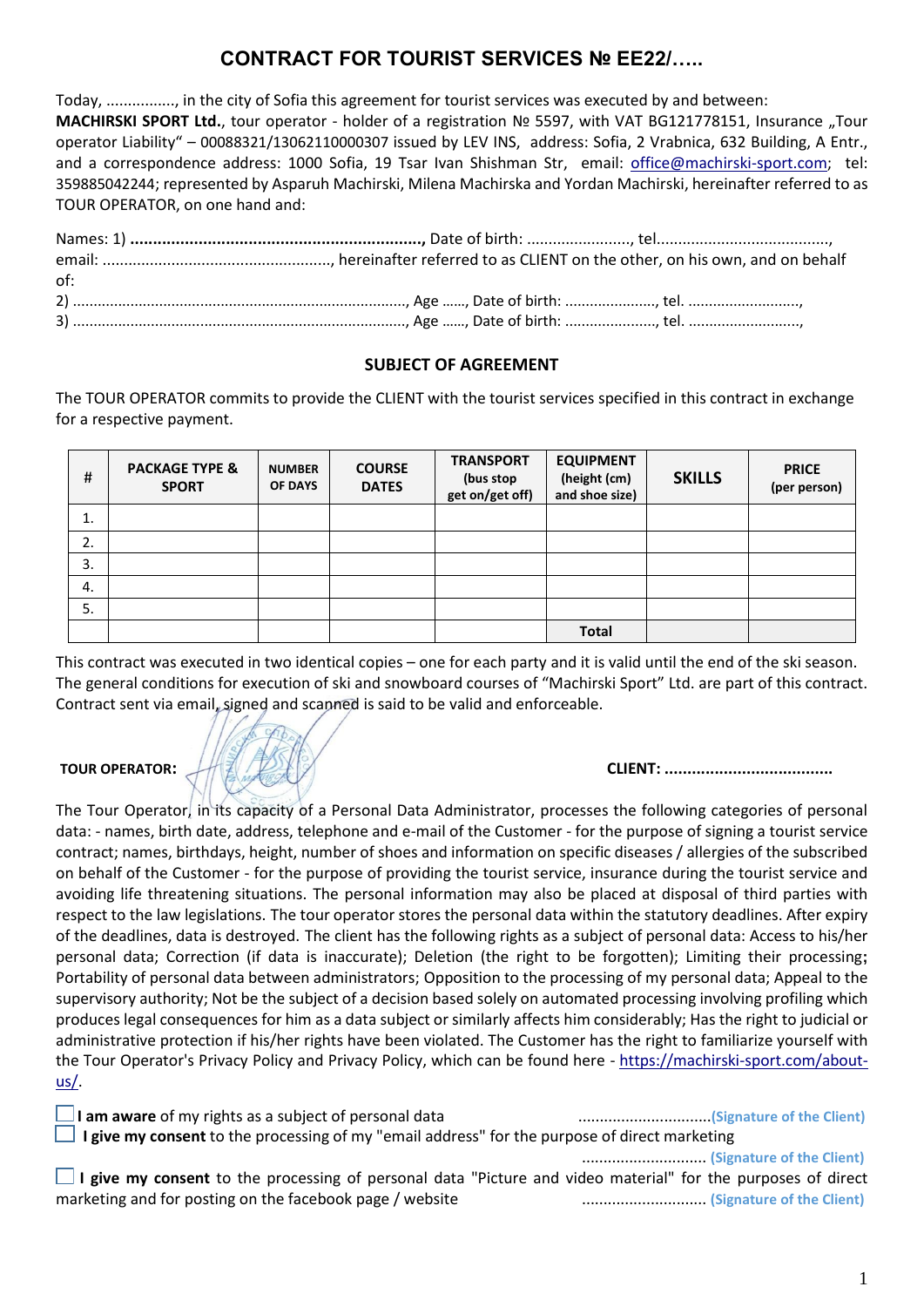# **CONTRACT FOR TOURIST SERVICES № ЕE22/…..**

Today, ................, in the city of Sofia this agreement for tourist services was executed by and between: **MACHIRSKI SPORT Ltd.**, tour operator - holder of a registration Nº 5597, with VAT BG121778151, Insurance "Tour operator Liability" – 00088321/13062110000307 issued by LEV INS, address: Sofia, 2 Vrabnica, 632 Building, A Entr., and a correspondence address: 1000 Sofia, 19 Tsar Ivan Shishman Str, email: office@machirski-sport.com; tel: 359885042244; represented by Asparuh Machirski, Milena Machirska and Yordan Machirski, hereinafter referred to as TOUR OPERATOR, on one hand and:

| of: |  |
|-----|--|
|     |  |
|     |  |

### **SUBJECT OF AGREEMENT**

The TOUR OPERATOR commits to provide the CLIENT with the tourist services specified in this contract in exchange for a respective payment.

| #  | <b>PACKAGE TYPE &amp;</b><br><b>SPORT</b> | <b>NUMBER</b><br><b>OF DAYS</b> | <b>COURSE</b><br><b>DATES</b> | <b>TRANSPORT</b><br>(bus stop<br>get on/get off) | <b>EQUIPMENT</b><br>(height (cm)<br>and shoe size) | <b>SKILLS</b> | <b>PRICE</b><br>(per person) |
|----|-------------------------------------------|---------------------------------|-------------------------------|--------------------------------------------------|----------------------------------------------------|---------------|------------------------------|
| 1. |                                           |                                 |                               |                                                  |                                                    |               |                              |
| 2. |                                           |                                 |                               |                                                  |                                                    |               |                              |
| 3. |                                           |                                 |                               |                                                  |                                                    |               |                              |
| 4. |                                           |                                 |                               |                                                  |                                                    |               |                              |
| 5. |                                           |                                 |                               |                                                  |                                                    |               |                              |
|    |                                           |                                 |                               |                                                  | <b>Total</b>                                       |               |                              |

This contract was executed in two identical copies – one for each party and it is valid until the end of the ski season. The general conditions for execution of ski and snowboard courses of "Machirski Sport" Ltd. are part of this contract. Contract sent via email, signed and scanned is said to be valid and enforceable.

## **TOUR OPERATOR: CLIENT: .....................................**

The Tour Operator, in its capacity of a Personal Data Administrator, processes the following categories of personal data: - names, birth date, address, telephone and e-mail of the Customer - for the purpose of signing a tourist service contract; names, birthdays, height, number of shoes and information on specific diseases / allergies of the subscribed on behalf of the Customer - for the purpose of providing the tourist service, insurance during the tourist service and avoiding life threatening situations. The personal information may also be placed at disposal of third parties with respect to the law legislations. The tour operator stores the personal data within the statutory deadlines. After expiry of the deadlines, data is destroyed. The client has the following rights as a subject of personal data: Access to his/her personal data; Correction (if data is inaccurate); Deletion (the right to be forgotten); Limiting their processing**;**  Portability of personal data between administrators; Opposition to the processing of my personal data; Appeal to the supervisory authority; Not be the subject of a decision based solely on automated processing involving profiling which produces legal consequences for him as a data subject or similarly affects him considerably; Has the right to judicial or administrative protection if his/her rights have been violated. The Customer has the right to familiarize yourself with the Tour Operator's Privacy Policy and Privacy Policy, which can be found here - [https://machirski-sport.com/about](https://machirski-sport.com/about-us/)[us/.](https://machirski-sport.com/about-us/)

| $\Box$ I am aware of my rights as a subject of personal data                                                 | (Signature of the Client) |  |  |  |  |  |  |
|--------------------------------------------------------------------------------------------------------------|---------------------------|--|--|--|--|--|--|
| $\Box$ I give my consent to the processing of my "email address" for the purpose of direct marketing         |                           |  |  |  |  |  |  |
|                                                                                                              | (Signature of the Client) |  |  |  |  |  |  |
| I give my consent to the processing of personal data "Picture and video material" for the purposes of direct |                           |  |  |  |  |  |  |

**Insent** to the processing of personal data "Picture and video material" for the purposes marketing and for posting on the facebook page / website ............................. **(Signature of the Client)**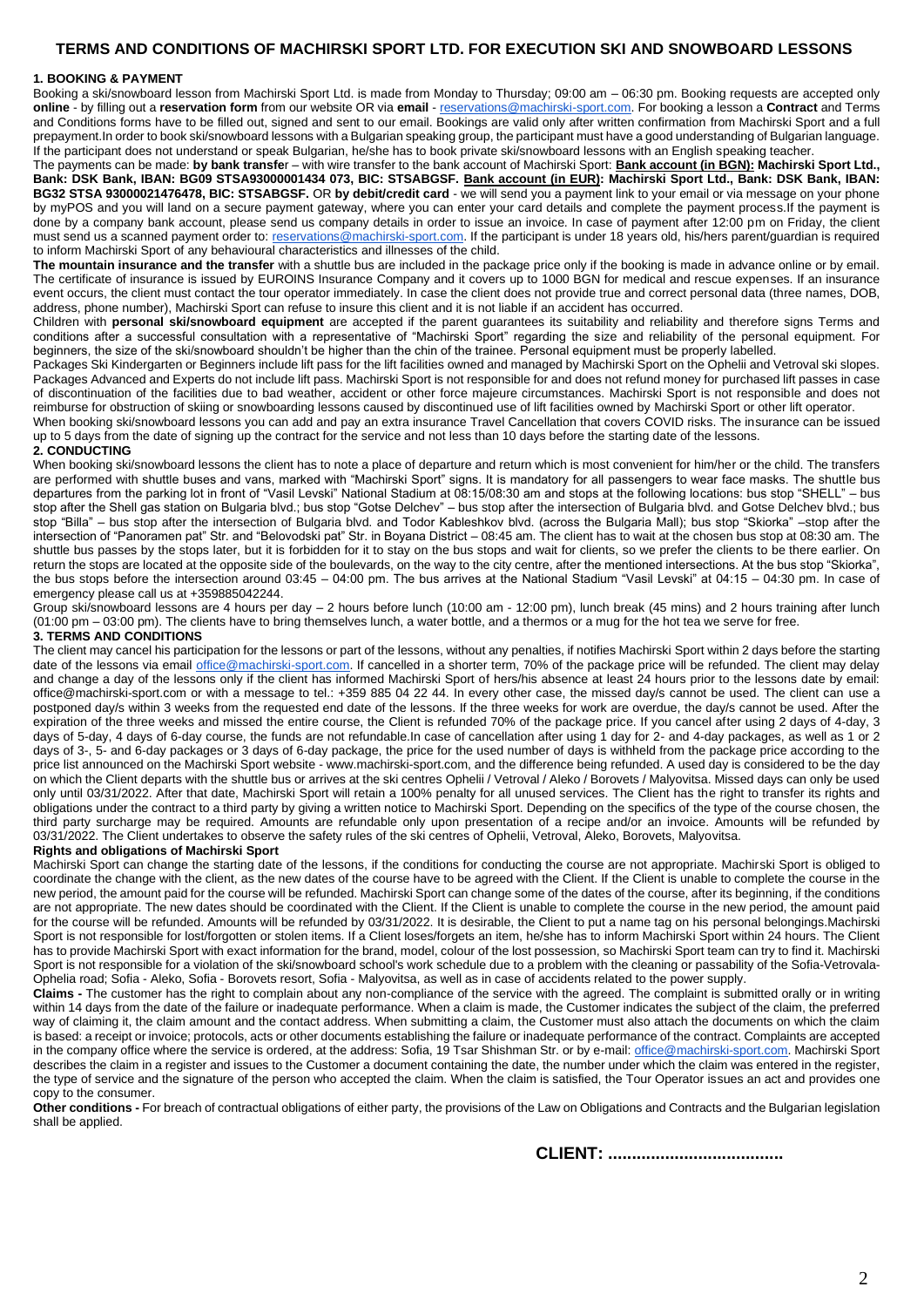### **TERMS AND CONDITIONS OF MACHIRSKI SPORT LTD. FOR EXECUTION SKI AND SNOWBOARD LESSONS**

#### **1. BOOKING & PAYMENT**

Booking a ski/snowboard lesson from Machirski Sport Ltd. is made from Monday to Thursday; 09:00 am – 06:30 pm. Booking requests are accepted only **online** - by filling out a **reservation form** from our website OR via **email** - [reservations@machirski-sport.com.](mailto:reservations@machirski-sport.com) For booking a lesson a **Contract** and Terms and Conditions forms have to be filled out, signed and sent to our email. Bookings are valid only after written confirmation from Machirski Sport and a full prepayment.In order to book ski/snowboard lessons with a Bulgarian speaking group, the participant must have a good understanding of Bulgarian language. If the participant does not understand or speak Bulgarian, he/she has to book private ski/snowboard lessons with an English speaking teacher.

The payments can be made: **by bank transfe**r – with wire transfer to the bank account of Machirski Sport: **Bank account (in BGN): Machirski Sport Ltd., Bank: DSK Bank, IBAN: BG09 STSA93000001434 073, BIC: STSABGSF. Bank account (in EUR): Machirski Sport Ltd., Bank: DSK Bank, IBAN: BG32 STSA 93000021476478, BIC: STSABGSF.** OR **by debit/credit card** - we will send you a payment link to your email or via message on your phone by myPOS and you will land on a secure payment gateway, where you can enter your card details and complete the payment process.If the payment is done by a company bank account, please send us company details in order to issue an invoice. In case of payment after 12:00 pm on Friday, the client must send us a scanned payment order to[: reservations@machirski-sport.com.](mailto:reservations@machirski-sport.com) If the participant is under 18 years old, his/hers parent/guardian is required to inform Machirski Sport of any behavioural characteristics and illnesses of the child.

**The mountain insurance and the transfer** with a shuttle bus are included in the package price only if the booking is made in advance online or by email. The certificate of insurance is issued by EUROINS Insurance Company and it covers up to 1000 BGN for medical and rescue expenses. If an insurance event occurs, the client must contact the tour operator immediately. In case the client does not provide true and correct personal data (three names, DOB, address, phone number), Machirski Sport can refuse to insure this client and it is not liable if an accident has occurred.

Children with **personal ski/snowboard equipment** are accepted if the parent guarantees its suitability and reliability and therefore signs Terms and conditions after a successful consultation with a representative of "Machirski Sport" regarding the size and reliability of the personal equipment. For beginners, the size of the ski/snowboard shouldn't be higher than the chin of the trainee. Personal equipment must be properly labelled.

Packages Ski Kindergarten or Beginners include lift pass for the lift facilities owned and managed by Machirski Sport on the Ophelii and Vetroval ski slopes. Packages Advanced and Experts do not include lift pass. Machirski Sport is not responsible for and does not refund money for purchased lift passes in case of discontinuation of the facilities due to bad weather, accident or other force majeure circumstances. Machirski Sport is not responsible and does not reimburse for obstruction of skiing or snowboarding lessons caused by discontinued use of lift facilities owned by Machirski Sport or other lift operator.

When booking ski/snowboard lessons you can add and pay an extra insurance Travel Cancellation that covers COVID risks. The insurance can be issued up to 5 days from the date of signing up the contract for the service and not less than 10 days before the starting date of the lessons.

#### **2. CONDUCTING**

When booking ski/snowboard lessons the client has to note a place of departure and return which is most convenient for him/her or the child. The transfers are performed with shuttle buses and vans, marked with "Machirski Sport" signs. It is mandatory for all passengers to wear face masks. The shuttle bus departures from the parking lot in front of "Vasil Levski" National Stadium at 08:15/08:30 am and stops at the following locations: bus stop "SHELL" – bus stop after the Shell gas station on Bulgaria blvd.; bus stop "Gotse Delchev" – bus stop after the intersection of Bulgaria blvd. and Gotse Delchev blvd.; bus stop "Billa" – bus stop after the intersection of Bulgaria blvd. and Todor Kableshkov blvd. (across the Bulgaria Mall); bus stop "Skiorka" –stop after the intersection of "Panoramen pat" Str. and "Belovodski pat" Str. in Boyana District – 08:45 am. The client has to wait at the chosen bus stop at 08:30 am. The shuttle bus passes by the stops later, but it is forbidden for it to stay on the bus stops and wait for clients, so we prefer the clients to be there earlier. On return the stops are located at the opposite side of the boulevards, on the way to the city centre, after the mentioned intersections. At the bus stop "Skiorka", the bus stops before the intersection around 03:45 – 04:00 pm. The bus arrives at the National Stadium "Vasil Levski" at 04:15 – 04:30 pm. In case of emergency please call us at +359885042244.

Group ski/snowboard lessons are 4 hours per day – 2 hours before lunch (10:00 am - 12:00 pm), lunch break (45 mins) and 2 hours training after lunch (01:00 pm – 03:00 pm). The clients have to bring themselves lunch, a water bottle, and a thermos or a mug for the hot tea we serve for free.

### **3. TERMS AND CONDITIONS**

The client may cancel his participation for the lessons or part of the lessons, without any penalties, if notifies Machirski Sport within 2 days before the starting date of the lessons via email [office@machirski-sport.com.](mailto:office@machirski-sport.com) If cancelled in a shorter term, 70% of the package price will be refunded. The client may delay and change a day of the lessons only if the client has informed Machirski Sport of hers/his absence at least 24 hours prior to the lessons date by email: office@machirski-sport.com or with a message to tel.: +359 885 04 22 44. In every other case, the missed day/s cannot be used. The client can use a postponed day/s within 3 weeks from the requested end date of the lessons. If the three weeks for work are overdue, the day/s cannot be used. After the expiration of the three weeks and missed the entire course, the Client is refunded 70% of the package price. If you cancel after using 2 days of 4-day, 3 days of 5-day, 4 days of 6-day course, the funds are not refundable.In case of cancellation after using 1 day for 2- and 4-day packages, as well as 1 or 2 days of 3-, 5- and 6-day packages or 3 days of 6-day package, the price for the used number of days is withheld from the package price according to the price list announced on the Machirski Sport website - www.machirski-sport.com, and the difference being refunded. A used day is considered to be the day on which the Client departs with the shuttle bus or arrives at the ski centres Ophelii / Vetroval / Aleko / Borovets / Malyovitsa. Missed days can only be used only until 03/31/2022. After that date, Machirski Sport will retain a 100% penalty for all unused services. The Client has the right to transfer its rights and obligations under the contract to a third party by giving a written notice to Machirski Sport. Depending on the specifics of the type of the course chosen, the third party surcharge may be required. Amounts are refundable only upon presentation of a recipe and/or an invoice. Amounts will be refunded by 03/31/2022. The Client undertakes to observe the safety rules of the ski centres of Ophelii, Vetroval, Aleko, Borovets, Malyovitsa.

#### **Rights and obligations of Machirski Sport**

Machirski Sport can change the starting date of the lessons, if the conditions for conducting the course are not appropriate. Machirski Sport is obliged to coordinate the change with the client, as the new dates of the course have to be agreed with the Client. If the Client is unable to complete the course in the new period, the amount paid for the course will be refunded. Machirski Sport can change some of the dates of the course, after its beginning, if the conditions are not appropriate. The new dates should be coordinated with the Client. If the Client is unable to complete the course in the new period, the amount paid for the course will be refunded. Amounts will be refunded by 03/31/2022. It is desirable, the Client to put a name tag on his personal belongings.Machirski Sport is not responsible for lost/forgotten or stolen items. If a Client loses/forgets an item, he/she has to inform Machirski Sport within 24 hours. The Client has to provide Machirski Sport with exact information for the brand, model, colour of the lost possession, so Machirski Sport team can try to find it. Machirski Sport is not responsible for a violation of the ski/snowboard school's work schedule due to a problem with the cleaning or passability of the Sofia-Vetrovala-Ophelia road; Sofia - Aleko, Sofia - Borovets resort, Sofia - Malyovitsa, as well as in case of accidents related to the power supply.

**Claims -** The customer has the right to complain about any non-compliance of the service with the agreed. The complaint is submitted orally or in writing within 14 days from the date of the failure or inadequate performance. When a claim is made, the Customer indicates the subject of the claim, the preferred way of claiming it, the claim amount and the contact address. When submitting a claim, the Customer must also attach the documents on which the claim is based: a receipt or invoice; protocols, acts or other documents establishing the failure or inadequate performance of the contract. Complaints are accepted in the company office where the service is ordered, at the address: Sofia, 19 Tsar Shishman Str. or by e-mail[: office@machirski-sport.com.](mailto:office@machirski-sport.com) Machirski Sport describes the claim in a register and issues to the Customer a document containing the date, the number under which the claim was entered in the register, the type of service and the signature of the person who accepted the claim. When the claim is satisfied, the Tour Operator issues an act and provides one copy to the consumer.

**Other conditions -** For breach of contractual obligations of either party, the provisions of the Law on Obligations and Contracts and the Bulgarian legislation shall be applied.

**CLIENT: .....................................**